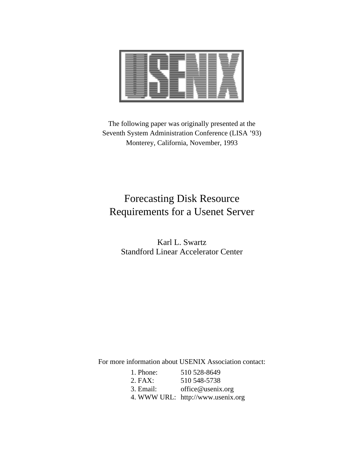The following paper was originally presented at the Seventh System Administration Conference (LISA '93) Monterey, California, November, 1993

# Forecasting Disk Resource Requirements for a Usenet Server

Karl L. Swartz Standford Linear Accelerator Center

For more information about USENIX Association contact:

| 1. Phone: | 510 528-8649                      |
|-----------|-----------------------------------|
| 2. FAX:   | 510 548-5738                      |
| 3. Email: | office@usenix.org                 |
|           | 4. WWW URL: http://www.usenix.org |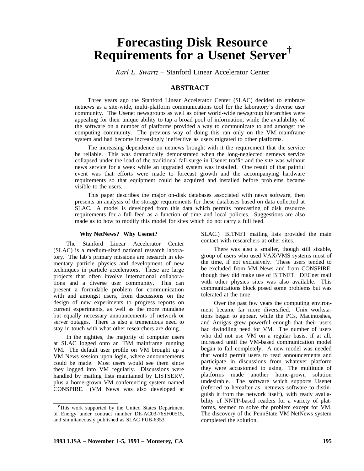# **Forecasting Disk Resource Requirements for a Usenet Server†**

*Karl L. Swartz –* Stanford Linear Accelerator Center

# **ABSTRACT**

Three years ago the Stanford Linear Accelerator Center (SLAC) decided to embrace netnews as a site-wide, multi-platform communications tool for the laboratory's diverse user community. The Usenet newsgroups as well as other world-wide newsgroup hierarchies were appealing for their unique ability to tap a broad pool of information, while the availability of the software on a number of platforms provided a way to communicate to and amongst the computing community. The previous way of doing this ran only on the VM mainframe system and had become increasingly ineffective as users migrated to other platforms.

The increasing dependence on netnews brought with it the requirement that the service be reliable. This was dramatically demonstrated when the long-neglected netnews service collapsed under the load of the traditional fall surge in Usenet traffic and the site was without news service for a week while an upgraded system was installed. One result of that painful event was that efforts were made to forecast growth and the accompanying hardware requirements so that equipment could be acquired and installed before problems became visible to the users.

This paper describes the major on-disk databases associated with news software, then presents an analysis of the storage requirements for these databases based on data collected at SLAC. A model is developed from this data which permits forecasting of disk resource requirements for a full feed as a function of time and local policies. Suggestions are also made as to how to modify this model for sites which do not carry a full feed.

## **Why NetNews? Why Usenet?**

The Stanford Linear Accelerator Center (SLAC) is a medium-sized national research laboratory. The lab's primary missions are research in elementary particle physics and development of new techniques in particle accelerators. These are large projects that often involve international collaborations and a diverse user community. This can present a formidable problem for communication with and amongst users, from discussions on the design of new experiments to progress reports on current experiments, as well as the more mundane but equally necessary announcements of network or server outages. There is also a tremendous need to stay in touch with what other researchers are doing.

In the eighties, the majority of computer users at SLAC logged onto an IBM mainframe running VM. The default user profile on VM brought up a VM News session upon login, where announcements could be made. Most users would see them since they logged into VM regularly. Discussions were handled by mailing lists maintained by LISTSERV, plus a home-grown VM conferencing system named CONSPIRE. (VM News was also developed at

SLAC.) BITNET mailing lists provided the main contact with researchers at other sites.

There was also a smaller, though still sizable, group of users who used VAX/VMS systems most of the time, if not exclusively. These users tended to be excluded from VM News and from CONSPIRE, though they did make use of BITNET. DECnet mail with other physics sites was also available. This communications block posed some problems but was tolerated at the time.

Over the past few years the computing environment became far more diversified. Unix workstations began to appear, while the PCs, Macintoshes, and Amigas grew powerful enough that their users had dwindling need for VM. The number of users who did not use VM on a regular basis, if at all, increased until the VM-based communication model began to fail completely. A new model was needed that would permit users to read announcements and participate in discussions from whatever platform they were accustomed to using. The multitude of platforms made another home-grown solution undesirable. The software which supports Usenet (referred to hereafter as netnews software to distinguish it from the network itself), with ready availability of NNTP-based readers for a variety of platforms, seemed to solve the problem except for VM. The discovery of the PennState VM NetNews system completed the solution.

*<sup>†</sup>*This work supported by the United States Department of Energy under contract number DE-AC03-76SF00515, and simultaneously published as SLAC PUB-6353.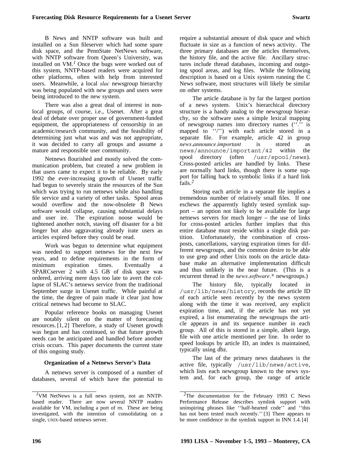B News and NNTP software was built and installed on a Sun fileserver which had some spare disk space, and the PennState NetNews software, with NNTP software from Queen's University, was installed on VM.*<sup>1</sup>* Once the bugs were worked out of this system, NNTP-based readers were acquired for other platforms, often with help from interested users. Meanwhile, a local *slac* newsgroup hierarchy was being populated with new groups and users were being introduced to the new system.

There was also a great deal of interest in nonlocal groups, of course, i.e., Usenet. After a great deal of debate over proper use of government-funded equipment, the appropriateness of censorship in an academic/research community, and the feasibility of determining just what was and was not appropriate, it was decided to carry all groups and assume a mature and responsible user community.

Netnews flourished and mostly solved the communication problem, but created a new problem in that users came to expect it to be reliable. By early 1992 the ever-increasing growth of Usenet traffic had begun to severely strain the resources of the Sun which was trying to run netnews while also handling file service and a variety of other tasks. Spool areas would overflow and the now-obsolete B News software would collapse, causing substantial delays and user ire. The expiration noose would be tightened another notch, staving off disaster for a bit longer but also aggravating already irate users as articles expired before they could be read.

Work was begun to determine what equipment was needed to support netnews for the next few years, and to define requirements in the form of minimum expiration times. Eventually a SPARCserver 2 with 4.5 GB of disk space was ordered, arriving mere days too late to avert the collapse of SLAC's netnews service from the traditional September surge in Usenet traffic. While painful at the time, the degree of pain made it clear just how critical netnews had become to SLAC.

Popular reference books on managing Usenet are notably silent on the matter of forecasting resources. [1, 2] Therefore, a study of Usenet growth was begun and has continued, so that future growth needs can be anticipated and handled before another crisis occurs. This paper documents the current state of this ongoing study.

#### **Organization of a Netnews Server's Data**

A netnews server is composed of a number of databases, several of which have the potential to require a substantial amount of disk space and which fluctuate in size as a function of news activity. The three primary databases are the articles themselves, the history file, and the active file. Ancillary structures include thread databases, incoming and outgoing spool areas, and log files. While the following description is based on a Unix system running the C News software, most structures will likely be similar on other systems.

The article database is by far the largest portion of a news system. Unix's hierarchical directory structure is a handy analog to the newsgroup hierarchy, so the software uses a simple lexical mapping of newsgroup names into directory names (''.'' is mapped to ''/'') with each article stored in a separate file. For example, article 42 in group *news.announce.important* is stored as news/announce/important/42 within the spool directory (often /usr/spool/news). Cross-posted articles are handled by links. These are normally hard links, though there is some support for falling back to symbolic links if a hard link fails.*<sup>2</sup>*

Storing each article in a separate file implies a tremendous number of relatively small files. If one eschews the apparently lightly tested symlink support – an option not likely to be available for large netnews servers for much longer – the use of links for cross-posted articles further implies that this entire database must reside within a single disk partition. Unfortunately, the combination of crossposts, cancellations, varying expiration times for different newsgroups, and the common desire to be able to use grep and other Unix tools on the article database make an alternative implementation difficult and thus unlikely in the near future. (This is a recurrent thread in the *news.software.\** newsgroups.)

The history file, typically located in /usr/lib/news/history, records the article ID of each article seen recently by the news system along with the time it was received, any explicit expiration time, and, if the article has not yet expired, a list enumerating the newsgroups the article appears in and its sequence number in each group. All of this is stored in a simple, albeit large, file with one article mentioned per line. In order to speed lookups by article ID, an index is maintained, typically using dbz.

The last of the primary news databases is the active file, typically /usr/lib/news/active, which lists each newsgroup known to the news system and, for each group, the range of article

*<sup>1</sup>*VM NetNews is a full news system, not an NNTPbased reader. There are now several NNTP readers available for VM, including a port of rn. These are being investigated, with the intention of consolidating on a single, UNIX-based netnews server.

*<sup>2</sup>*The documentation for the February 1993 C News Performance Release describes symlink support with uninspiring phrases like ''half-hearted code'' and ''this has not been tested much recently.'' [3] There appears to be more confidence in the symlink support in INN 1.4. [4]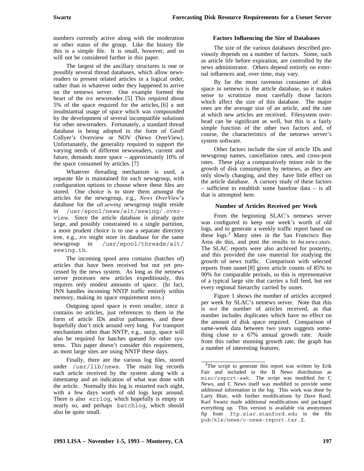numbers currently active along with the moderation or other status of the group. Like the history file this is a simple file. It is small, however, and so will not be considered further in this paper.

The largest of the ancillary structures is one or possibly several thread databases, which allow newsreaders to present related articles in a logical order, rather than in whatever order they happened to arrive on the netnews server. One example formed the heart of the *trn* newsreader. [5] This required about 5% of the space required for the articles, [6] a not insubstantial usage of space which was compounded by the development of several incompatible solutions for other newsreaders. Fortunately, a standard thread database is being adopted in the form of Geoff Collyer's Overview or NOV (News OverView). Unfortunately, the generality required to support the varying needs of different newsreaders, current and future, demands more space – approximately 10% of the space consumed by articles. [7]

Whatever threading mechanism is used, a separate file is maintained for each newsgroup, with configuration options to choose where these files are stored. One choice is to store them amongst the articles for the newsgroup, e.g., *News OverView*'s database for the *alt.sewing* newsgroup might reside in /usr/spool/news/alt/sewing/.overview. Since the article database is already quite large, and possibly constrained to a single partition, a more prudent choice is to use a separate directory tree, e.g., *trn* might store its database for the same newsgroup in /usr/spool/threads/alt/ sewing.th.

The incoming spool area contains (batches of) articles that have been received but not yet processed by the news system. As long as the netnews server processes new articles expeditiously, this requires only modest amounts of space. (In fact, INN handles incoming NNTP traffic entirely within memory, making its space requirement zero.)

Outgoing spool space is even smaller, since it contains no articles, just references to them in the form of article IDs and/or pathnames, and these hopefully don't stick around very long. For transport mechanisms other than NNTP, e.g., uucp, space will also be required for batches queued for other systems. This paper doesn't consider this requirement, as most large sites are using NNTP these days.

Finally, there are the various log files, stored under /usr/lib/news. The main log records each article received by the system along with a timestamp and an indication of what was done with the article. Normally this log is restarted each night, with a few days worth of old logs kept around. There is also errlog, which hopefully is empty or nearly so, and perhaps batchlog, which should also be quite small.

# **Factors Influencing the Size of Databases**

The size of the various databases described previously depends on a number of factors. Some, such as article life before expiration, are controlled by the news administrator. Others depend entirely on external influences and, over time, may vary.

By far the most ravenous consumer of disk space in netnews is the article database, so it makes sense to scrutinize most carefully those factors which affect the size of this database. The major ones are the average size of an article, and the rate at which new articles are received. Filesystem overhead can be significant as well, but this is a fairly simple function of the other two factors and, of course, the characteristics of the netnews server's system software.

Other factors include the size of article IDs and newsgroup names, cancellation rates, and cross-post rates. These play a comparatively minor role in the growth of disk consumption by netnews, as they are only slowly changing, and they have little effect on the article database. A cursory study of these factors – sufficient to establish some baseline data – is all that is attempted here.

# **Number of Articles Received per Week**

From the beginning SLAC's netnews server was configured to keep one week's worth of old logs, and to generate a weekly traffic report based on these logs.*<sup>3</sup>* Many sites in the San Francisco Bay Area do this, and post the results to *ba.news.stats*. The SLAC reports were also archived for posterity, and this provided the raw material for studying the growth of news traffic. Comparison with selected reports from uunet [8] gives article counts of 85% to 90% for comparable periods, so this is representative of a typical large site that carries a full feed, but not every regional hierarchy carried by uunet.

Figure 1 shows the number of articles accepted per week by SLAC's netnews server. Note that this is *not* the number of articles received, as that number includes duplicates which have no effect on the amount of disk space required. Comparison of same-week data between two years suggests something close to a 67% annual growth rate. Aside from this rather stunning growth rate, the graph has a number of interesting features.

<sup>&</sup>lt;sup>3</sup>The script to generate this report was written by Erik Fair and included in the B News distribution as misc/report-awk. The script was modified for C News, and C News itself was modified to provide some additional information in the log. This work was done by Larry Blair, with further modifications by Dave Rand. Karl Swartz made additional modifications and packaged everything up. This version is available via anonymous ftp from ftp.slac.stanford.edu in the file pub/kls/news/c-news-report.tar.Z.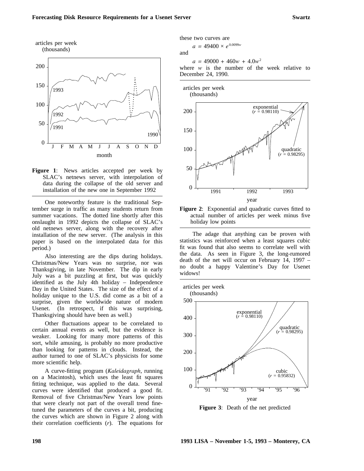

**Figure 1**: News articles accepted per week by SLAC's netnews server, with interpolation of data during the collapse of the old server and installation of the new one in September 1992

One noteworthy feature is the traditional September surge in traffic as many students return from summer vacations. The dotted line shortly after this onslaught in 1992 depicts the collapse of SLAC's old netnews server, along with the recovery after installation of the new server. (The analysis in this paper is based on the interpolated data for this period.)

Also interesting are the dips during holidays. Christmas/New Years was no surprise, nor was Thanksgiving, in late November. The dip in early July was a bit puzzling at first, but was quickly identified as the July 4th holiday – Independence Day in the United States. The size of the effect of a holiday unique to the U.S. did come as a bit of a surprise, given the worldwide nature of modern Usenet. (In retrospect, if this was surprising, Thanksgiving should have been as well.)

Other fluctuations appear to be correlated to certain annual events as well, but the evidence is weaker. Looking for many more patterns of this sort, while amusing, is probably no more productive than looking for patterns in clouds. Instead, the author turned to one of SLAC's physicists for some more scientific help.

A curve-fitting program (*Kaleidagraph*, running on a Macintosh), which uses the least fit squares fitting technique, was applied to the data. Several curves were identified that produced a good fit. Removal of five Christmas/New Years low points that were clearly not part of the overall trend finetuned the parameters of the curves a bit, producing the curves which are shown in Figure 2 along with their correlation coefficients (*r*). The equations for

these two curves are

$$
a = 49400 \times e^{0.0099w}
$$
  
and

 $a = 49000 + 460w + 4.0w^2$ 

where *w* is the number of the week relative to December 24, 1990.



**Figure 2:** Exponential and quadratic curves fitted to actual number of articles per week minus five holiday low points

The adage that anything can be proven with statistics was reinforced when a least squares cubic fit was found that also seems to correlate well with the data. As seen in Figure 3, the long-rumored death of the net will occur on February 14, 1997 – no doubt a happy Valentine's Day for Usenet widows!



**Figure 3**: Death of the net predicted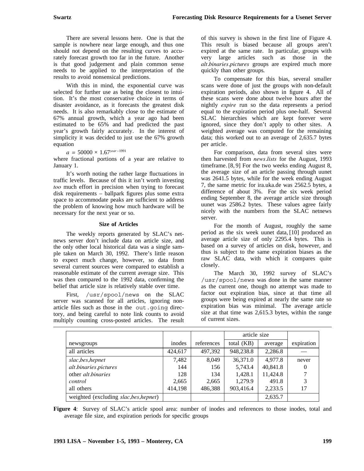There are several lessons here. One is that the sample is nowhere near large enough, and thus one should not depend on the resulting curves to accurately forecast growth too far in the future. Another is that good judgement and plain common sense needs to be applied to the interpretation of the results to avoid nonsensical predictions.

With this in mind, the exponential curve was selected for further use as being the closest to intuition. It's the most conservative choice in terms of disaster avoidance, as it forecasts the greatest disk needs. It is also remarkably close to the estimate of 67% annual growth, which a year ago had been estimated to be 65% and had predicted the past year's growth fairly accurately. In the interest of simplicity it was decided to just use the 67% growth equation

*a =* 50000 × 1.67*year−*<sup>1991</sup>

where fractional portions of a year are relative to January 1.

It's worth noting the rather large fluctuations in traffic levels. Because of this it isn't worth investing *too* much effort in precision when trying to forecast disk requirements – ballpark figures plus some extra space to accommodate peaks are sufficient to address the problem of knowing how much hardware will be necessary for the next year or so.

## **Size of Articles**

The weekly reports generated by SLAC's netnews server don't include data on article size, and the only other local historical data was a single sample taken on March 30, 1992. There's little reason to expect much change, however, so data from several current sources were compared to establish a reasonable estimate of the current average size. This was then compared to the 1992 data, confirming the belief that article size is relatively stable over time.

First, /usr/spool/news on the SLAC server was scanned for all articles, ignoring nonarticle files such as those in the out.going directory, and being careful to note link counts to avoid multiply counting cross-posted articles. The result of this survey is shown in the first line of Figure 4. This result is biased because all groups aren't expired at the same rate. In particular, groups with very large articles such as those in the *alt.binaries.pictures* groups are expired much more quickly than other groups.

To compensate for this bias, several smaller scans were done of just the groups with non-default expiration periods, also shown in figure 4. All of these scans were done about twelve hours after the nightly *expire* run so the data represents a period equal to the expiration period plus one-half. Several SLAC hierarchies which are kept forever were ignored, since they don't apply to other sites. A weighted average was computed for the remaining data; this worked out to an average of 2,635.7 bytes per article.

For comparison, data from several sites were then harvested from *news.lists* for the August, 1993 timeframe. [8, 9] For the two weeks ending August 8, the average size of an article passing through uunet was 2641.5 bytes, while for the week ending August 7, the same metric for ira.uka.de was 2562.5 bytes, a difference of about 3%. For the six week period ending September 8, the average article size through uunet was 2586.2 bytes. These values agree fairly nicely with the numbers from the SLAC netnews server.

For the month of August, roughly the same period as the six week uunet data, [10] produced an average article size of only 2295.4 bytes. This is based on a survey of articles on disk, however, and thus is subject to the same expiration biases as the raw SLAC data, with which it compares quite closely.

The March 30, 1992 survey of SLAC's /usr/spool/news was done in the same manner as the current one, though no attempt was made to factor out expiration bias, since at that time all groups were being expired at nearly the same rate so expiration bias was minimal. The average article size at that time was 2,615.3 bytes, within the range of current sizes.

|                                        |         |            | article size |          |            |
|----------------------------------------|---------|------------|--------------|----------|------------|
| newsgroups                             | inodes  | references | total $(KB)$ | average  | expiration |
| all articles                           | 424,617 | 497,392    | 948,238.8    | 2,286.8  |            |
| slac,bes,hepnet                        | 7,482   | 8.049      | 36,371.0     | 4.977.8  | never      |
| alt.binaries.pictures                  | 144     | 156        | 5,743.4      | 40,841.8 | 0          |
| other <i>alt binaries</i>              | 128     | 134        | 1,428.1      | 11,424.8 | 7          |
| control                                | 2,665   | 2,665      | 1,279.9      | 491.8    | 3          |
| all others                             | 414,198 | 486,388    | 903,416.4    | 2,233.5  | 17         |
| weighted (excluding slac, bes, hepnet) |         |            |              | 2,635.7  |            |

**Figure 4**: Survey of SLAC's article spool area: number of inodes and references to those inodes, total and average file size, and expiration periods for specific groups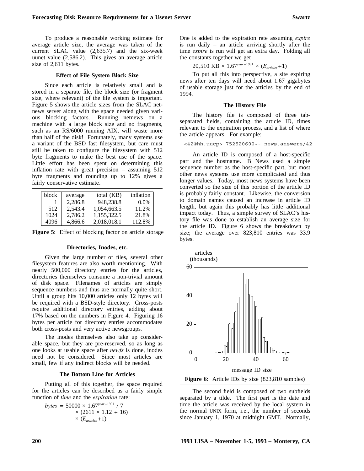To produce a reasonable working estimate for average article size, the average was taken of the current SLAC value (2,635.7) and the six-week uunet value (2,586.2). This gives an average article size of 2,611 bytes.

### **Effect of File System Block Size**

Since each article is relatively small and is stored in a separate file, the block size (or fragment size, where relevant) of the file system is important. Figure 5 shows the article sizes from the SLAC netnews server along with the space needed given various blocking factors. Running netnews on a machine with a large block size and no fragments, such as an RS/6000 running AIX, will waste more than half of the disk! Fortunately, many systems use a variant of the BSD fast filesystem, but care must still be taken to configure the filesystem with 512 byte fragments to make the best use of the space. Little effort has been spent on determining this inflation rate with great precision – assuming 512 byte fragments and rounding up to 12% gives a fairly conservative estimate.

| block | average | total (KB)  | inflation |
|-------|---------|-------------|-----------|
|       | 2,286.8 | 948.238.8   | $0.0\%$   |
| 512   | 2.543.4 | 1,054,663.5 | 11.2%     |
| 1024  | 2,786.2 | 1,155,322.5 | 21.8%     |
| 4096  | 4,866.6 | 2,018,018.1 | 112.8%    |

|  | <b>Figure 5:</b> Effect of blocking factor on article storage |  |  |
|--|---------------------------------------------------------------|--|--|
|--|---------------------------------------------------------------|--|--|

#### **Directories, Inodes, etc.**

Given the large number of files, several other filesystem features are also worth mentioning. With nearly 500,000 directory entries for the articles, directories themselves consume a non-trivial amount of disk space. Filenames of articles are simply sequence numbers and thus are normally quite short. Until a group hits 10,000 articles only 12 bytes will be required with a BSD-style directory. Cross-posts require additional directory entries, adding about 17% based on the numbers in Figure 4. Figuring 16 bytes per article for directory entries accommodates both cross-posts and very active newsgroups.

The inodes themselves also take up considerable space, but they are pre-reserved, so as long as one looks at usable space after *newfs* is done, inodes need not be considered. Since most articles are small, few if any indirect blocks will be needed.

#### **The Bottom Line for Articles**

Putting all of this together, the space required for the articles can be described as a fairly simple function of *time* and the *expiration* rate:

$$
bytes = 50000 \times 1.67^{year-1991} / 7 \times (2611 \times 1.12 + 16) \times (E_{articles} + 1)
$$

One is added to the expiration rate assuming *expire* is run daily – an article arriving shortly after the time *expire* is run will get an extra day. Folding all the constants together we get

20,510 KB × 1.67<sup>*year* −1991</sup> × ( $E_{articles}$ +1)

To put all this into perspective, a site expiring news after ten days will need about 1.67 gigabytes of usable storage just for the articles by the end of 1994.

#### **The History File**

The history file is composed of three tabseparated fields, containing the article ID, times relevant to the expiration process, and a list of where the article appears. For example:

<42@hh.uucp> 752520600~- news.answers/42

An article ID is composed of a host-specific part and the hostname. B News used a simple sequence number as the host-specific part, but most other news systems use more complicated and thus longer values. Today, most news systems have been converted so the size of this portion of the article ID is probably fairly constant. Likewise, the conversion to domain names caused an increase in article ID length, but again this probably has little additional impact today. Thus, a simple survey of SLAC's history file was done to establish an average size for the article ID. Figure 6 shows the breakdown by size; the average over 823,810 entries was 33.9 bytes.





The second field is composed of two subfields separated by a tilde. The first part is the date and time the article was received by the local system in the normal UNIX form, i.e., the number of seconds since January 1, 1970 at midnight GMT. Normally,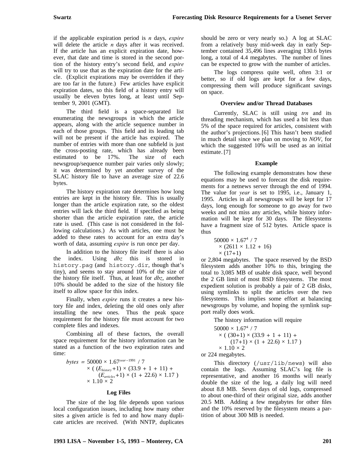if the applicable expiration period is *n* days, *expire* will delete the article *n* days after it was received. If the article has an explicit expiration date, however, that date and time is stored in the second portion of the history entry's second field, and *expire* will try to use that as the expiration date for the article. (Explicit expirations may be overridden if they are too far in the future.) Few articles have explicit expiration dates, so this field of a history entry will usually be eleven bytes long, at least until September 9, 2001 (GMT).

The third field is a space-separated list enumerating the newsgroups in which the article appears, along with the article sequence number in each of those groups. This field and its leading tab will not be present if the article has expired. The number of entries with more than one subfield is just the cross-posting rate, which has already been<br>estimated to be 17%. The size of each estimated to be 17%. newsgroup/sequence number pair varies only slowly; it was determined by yet another survey of the SLAC history file to have an average size of 22.6 bytes.

The history expiration rate determines how long entries are kept in the history file. This is usually longer than the article expiration rate, so the oldest entries will lack the third field. If specified as being shorter than the article expiration rate, the article rate is used. (This case is not considered in the following calculations.) As with articles, one must be added to these rates to account for an extra day's worth of data, assuming *expire* is run once per day.

In addition to the history file itself there is also the index. Using *dbz* this is stored in history.pag (and history.dir, though that's tiny), and seems to stay around 10% of the size of the history file itself. Thus, at least for *dbz*, another 10% should be added to the size of the history file itself to allow space for this index.

Finally, when *expire* runs it creates a new history file and index, deleting the old ones only after installing the new ones. Thus the peak space requirement for the history file must account for two complete files and indexes.

Combining all of these factors, the overall space requirement for the history information can be stated as a function of the two expiration rates and time:

*bytes =* 50000 × 1.67*year−*<sup>1991</sup> */* 7  $\times$  ( $(E_{history}+1) \times (33.9 + 1 + 11) +$  $(E_{\text{articles}}+1) \times (1 + 22.6) \times 1.17$  $\times$  1.10  $\times$  2

# **Log Files**

The size of the log file depends upon various local configuration issues, including how many other sites a given article is fed to and how many duplicate articles are received. (With NNTP, duplicates

The logs compress quite well, often 3:1 or better, so if old logs are kept for a few days, compressing them will produce significant savings on space.

# **Overview and/or Thread Databases**

Currently, SLAC is still using *trn* and its threading mechanism, which has used a bit less than 5% of the space required for articles, consistent with the author's projections. [6] This hasn't been studied in much detail since we plan on moving to *NOV*, for which the suggested 10% will be used as an initial estimate. [7]

# **Example**

The following example demonstrates how these equations may be used to forecast the disk requirements for a netnews server through the end of 1994. The value for *year* is set to 1995, i.e., January 1, 1995. Articles in all newsgroups will be kept for 17 days, long enough for someone to go away for two weeks and not miss any articles, while history information will be kept for 30 days. The filesystems have a fragment size of 512 bytes. Article space is thus

 $50000 \times 1.67^4$  / 7  $\times$  (2611  $\times$  1.12 + 16) × (17*+*1)

or 2,804 megabytes. The space reserved by the BSD filesystem adds another 10% to this, bringing the total to 3,085 MB of usable disk space, well beyond the 2 GB limit of most BSD filesystems. The most expedient solution is probably a pair of 2 GB disks, using symlinks to split the articles over the two filesystems. This implies some effort at balancing newsgroups by volume, and hoping the symlink support really does work.

The history information will require

 $50000 \times 1.67^{4}$  / 7  $\times$  (  $(30+1) \times (33.9 + 1 + 11) +$  $(17+1) \times (1 + 22.6) \times 1.17$  $\times$  1.10  $\times$  2 or 224 megabytes.

This directory (/usr/lib/news) will also contain the logs. Assuming SLAC's log file is representative, and another 16 months will nearly double the size of the log, a daily log will need about 8.8 MB. Seven days of old logs, compressed to about one-third of their original size, adds another 20.5 MB. Adding a few megabytes for other files and the 10% reserved by the filesystem means a partition of about 300 MB is needed.